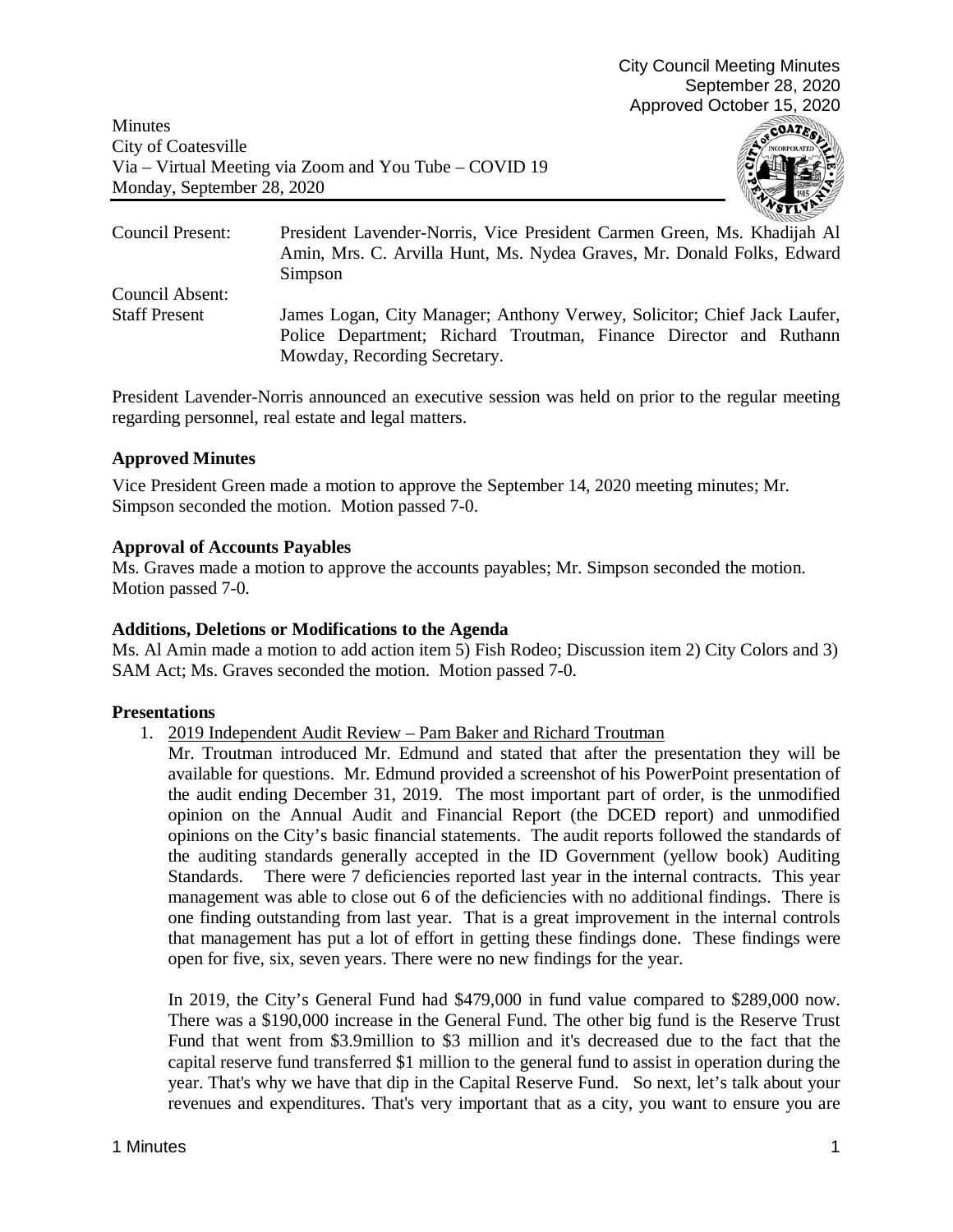Minutes City of Coatesville Via – Virtual Meeting via Zoom and You Tube – COVID 19 Monday, September 28, 2020



Council Present: President Lavender-Norris, Vice President Carmen Green, Ms. Khadijah Al Amin, Mrs. C. Arvilla Hunt, Ms. Nydea Graves, Mr. Donald Folks, Edward Simpson Council Absent: Staff Present James Logan, City Manager; Anthony Verwey, Solicitor; Chief Jack Laufer, Police Department; Richard Troutman, Finance Director and Ruthann Mowday, Recording Secretary.

President Lavender-Norris announced an executive session was held on prior to the regular meeting regarding personnel, real estate and legal matters.

# **Approved Minutes**

Vice President Green made a motion to approve the September 14, 2020 meeting minutes; Mr. Simpson seconded the motion. Motion passed 7-0.

# **Approval of Accounts Payables**

Ms. Graves made a motion to approve the accounts payables; Mr. Simpson seconded the motion. Motion passed 7-0.

### **Additions, Deletions or Modifications to the Agenda**

Ms. Al Amin made a motion to add action item 5) Fish Rodeo; Discussion item 2) City Colors and 3) SAM Act; Ms. Graves seconded the motion. Motion passed 7-0.

### **Presentations**

1. 2019 Independent Audit Review – Pam Baker and Richard Troutman

Mr. Troutman introduced Mr. Edmund and stated that after the presentation they will be available for questions. Mr. Edmund provided a screenshot of his PowerPoint presentation of the audit ending December 31, 2019. The most important part of order, is the unmodified opinion on the Annual Audit and Financial Report (the DCED report) and unmodified opinions on the City's basic financial statements. The audit reports followed the standards of the auditing standards generally accepted in the ID Government (yellow book) Auditing Standards. There were 7 deficiencies reported last year in the internal contracts. This year management was able to close out 6 of the deficiencies with no additional findings. There is one finding outstanding from last year. That is a great improvement in the internal controls that management has put a lot of effort in getting these findings done. These findings were open for five, six, seven years. There were no new findings for the year.

In 2019, the City's General Fund had \$479,000 in fund value compared to \$289,000 now. There was a \$190,000 increase in the General Fund. The other big fund is the Reserve Trust Fund that went from \$3.9million to \$3 million and it's decreased due to the fact that the capital reserve fund transferred \$1 million to the general fund to assist in operation during the year. That's why we have that dip in the Capital Reserve Fund. So next, let's talk about your revenues and expenditures. That's very important that as a city, you want to ensure you are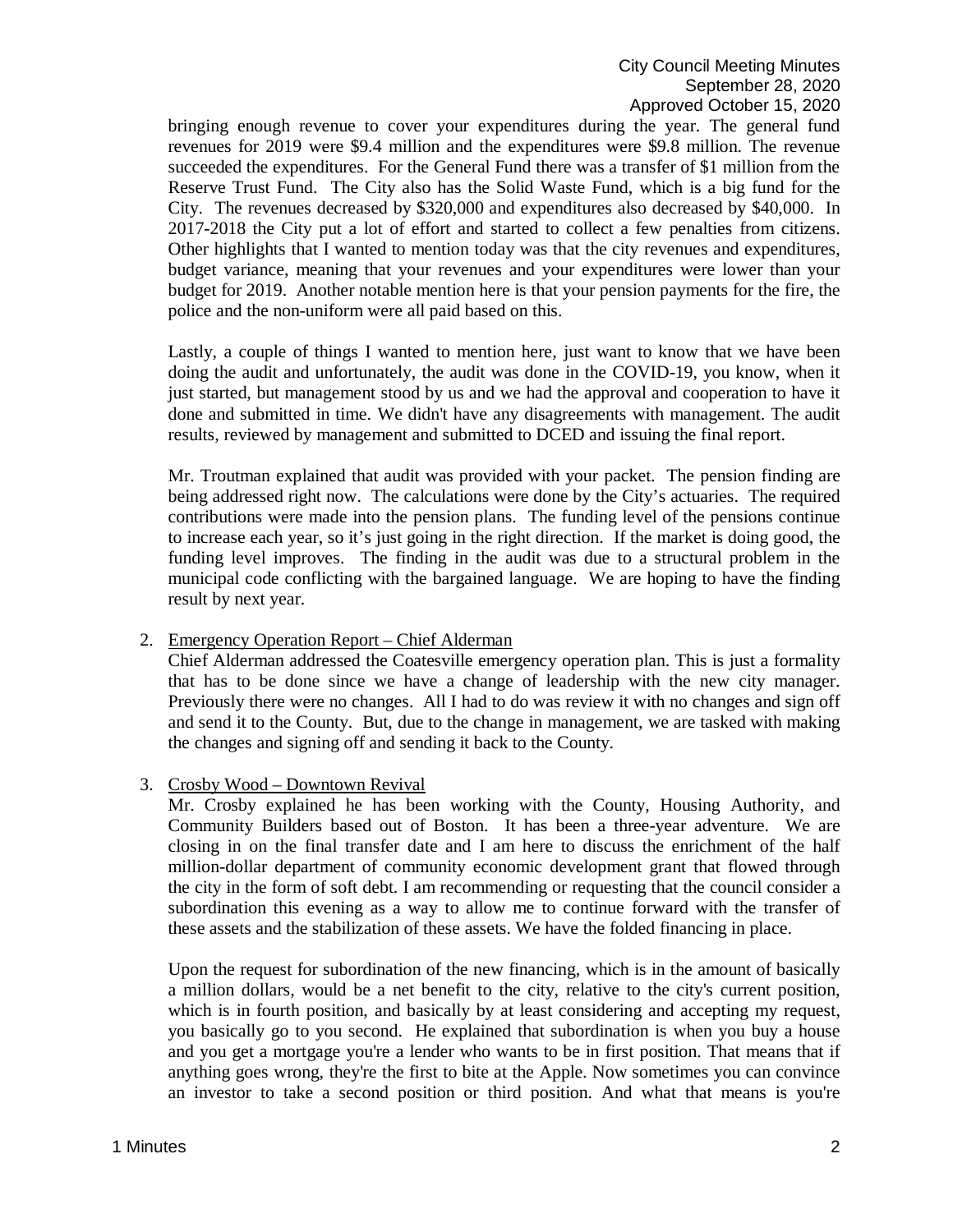bringing enough revenue to cover your expenditures during the year. The general fund revenues for 2019 were \$9.4 million and the expenditures were \$9.8 million. The revenue succeeded the expenditures. For the General Fund there was a transfer of \$1 million from the Reserve Trust Fund. The City also has the Solid Waste Fund, which is a big fund for the City. The revenues decreased by \$320,000 and expenditures also decreased by \$40,000. In 2017-2018 the City put a lot of effort and started to collect a few penalties from citizens. Other highlights that I wanted to mention today was that the city revenues and expenditures, budget variance, meaning that your revenues and your expenditures were lower than your budget for 2019. Another notable mention here is that your pension payments for the fire, the police and the non-uniform were all paid based on this.

Lastly, a couple of things I wanted to mention here, just want to know that we have been doing the audit and unfortunately, the audit was done in the COVID-19, you know, when it just started, but management stood by us and we had the approval and cooperation to have it done and submitted in time. We didn't have any disagreements with management. The audit results, reviewed by management and submitted to DCED and issuing the final report.

Mr. Troutman explained that audit was provided with your packet. The pension finding are being addressed right now. The calculations were done by the City's actuaries. The required contributions were made into the pension plans. The funding level of the pensions continue to increase each year, so it's just going in the right direction. If the market is doing good, the funding level improves. The finding in the audit was due to a structural problem in the municipal code conflicting with the bargained language. We are hoping to have the finding result by next year.

### 2. Emergency Operation Report – Chief Alderman

Chief Alderman addressed the Coatesville emergency operation plan. This is just a formality that has to be done since we have a change of leadership with the new city manager. Previously there were no changes. All I had to do was review it with no changes and sign off and send it to the County. But, due to the change in management, we are tasked with making the changes and signing off and sending it back to the County.

### 3. Crosby Wood – Downtown Revival

Mr. Crosby explained he has been working with the County, Housing Authority, and Community Builders based out of Boston. It has been a three-year adventure. We are closing in on the final transfer date and I am here to discuss the enrichment of the half million-dollar department of community economic development grant that flowed through the city in the form of soft debt. I am recommending or requesting that the council consider a subordination this evening as a way to allow me to continue forward with the transfer of these assets and the stabilization of these assets. We have the folded financing in place.

Upon the request for subordination of the new financing, which is in the amount of basically a million dollars, would be a net benefit to the city, relative to the city's current position, which is in fourth position, and basically by at least considering and accepting my request, you basically go to you second. He explained that subordination is when you buy a house and you get a mortgage you're a lender who wants to be in first position. That means that if anything goes wrong, they're the first to bite at the Apple. Now sometimes you can convince an investor to take a second position or third position. And what that means is you're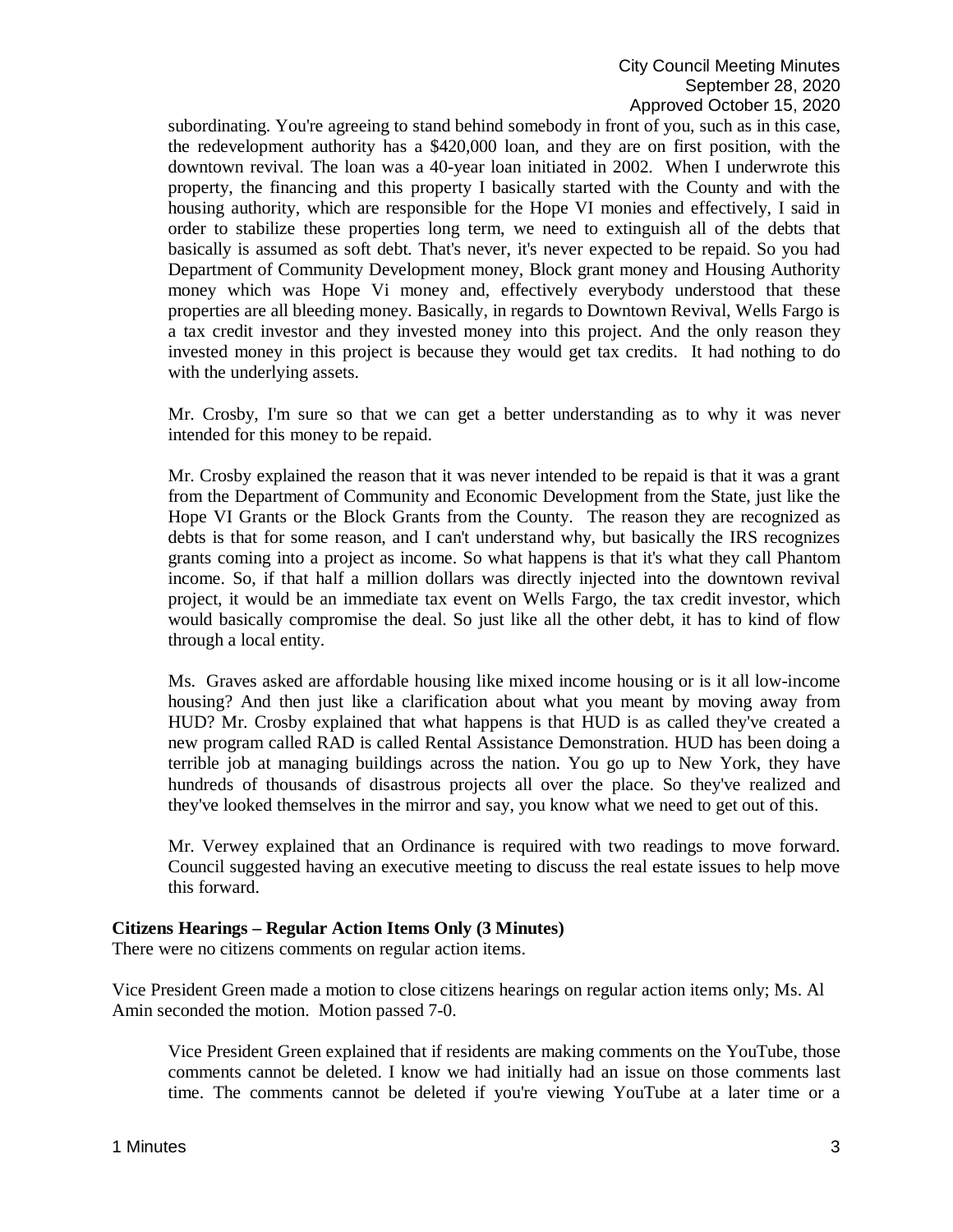subordinating. You're agreeing to stand behind somebody in front of you, such as in this case, the redevelopment authority has a \$420,000 loan, and they are on first position, with the downtown revival. The loan was a 40-year loan initiated in 2002. When I underwrote this property, the financing and this property I basically started with the County and with the housing authority, which are responsible for the Hope VI monies and effectively, I said in order to stabilize these properties long term, we need to extinguish all of the debts that basically is assumed as soft debt. That's never, it's never expected to be repaid. So you had Department of Community Development money, Block grant money and Housing Authority money which was Hope Vi money and, effectively everybody understood that these properties are all bleeding money. Basically, in regards to Downtown Revival, Wells Fargo is a tax credit investor and they invested money into this project. And the only reason they invested money in this project is because they would get tax credits. It had nothing to do with the underlying assets.

Mr. Crosby, I'm sure so that we can get a better understanding as to why it was never intended for this money to be repaid.

Mr. Crosby explained the reason that it was never intended to be repaid is that it was a grant from the Department of Community and Economic Development from the State, just like the Hope VI Grants or the Block Grants from the County. The reason they are recognized as debts is that for some reason, and I can't understand why, but basically the IRS recognizes grants coming into a project as income. So what happens is that it's what they call Phantom income. So, if that half a million dollars was directly injected into the downtown revival project, it would be an immediate tax event on Wells Fargo, the tax credit investor, which would basically compromise the deal. So just like all the other debt, it has to kind of flow through a local entity.

Ms. Graves asked are affordable housing like mixed income housing or is it all low-income housing? And then just like a clarification about what you meant by moving away from HUD? Mr. Crosby explained that what happens is that HUD is as called they've created a new program called RAD is called Rental Assistance Demonstration. HUD has been doing a terrible job at managing buildings across the nation. You go up to New York, they have hundreds of thousands of disastrous projects all over the place. So they've realized and they've looked themselves in the mirror and say, you know what we need to get out of this.

Mr. Verwey explained that an Ordinance is required with two readings to move forward. Council suggested having an executive meeting to discuss the real estate issues to help move this forward.

#### **Citizens Hearings – Regular Action Items Only (3 Minutes)**

There were no citizens comments on regular action items.

Vice President Green made a motion to close citizens hearings on regular action items only; Ms. Al Amin seconded the motion. Motion passed 7-0.

Vice President Green explained that if residents are making comments on the YouTube, those comments cannot be deleted. I know we had initially had an issue on those comments last time. The comments cannot be deleted if you're viewing YouTube at a later time or a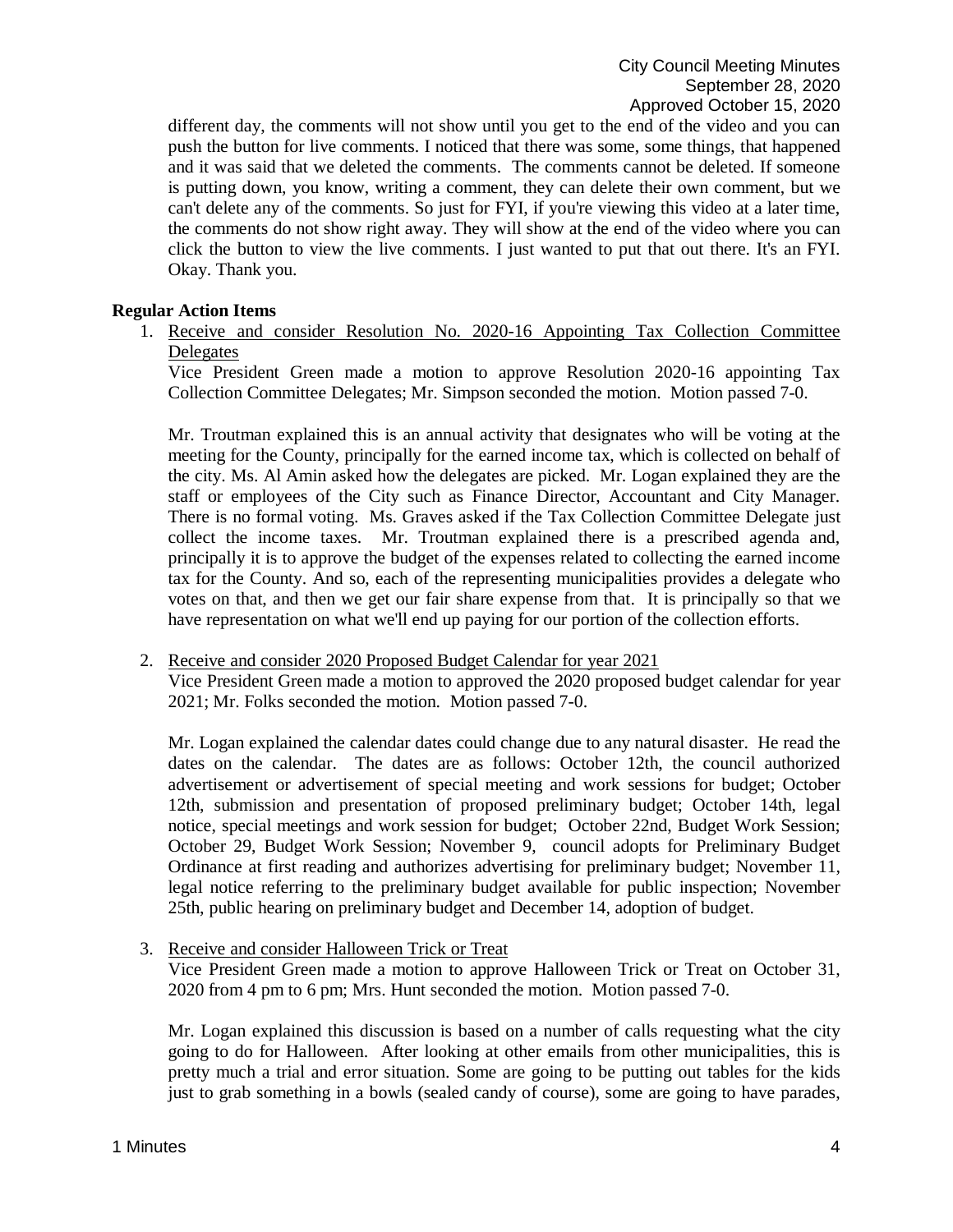different day, the comments will not show until you get to the end of the video and you can push the button for live comments. I noticed that there was some, some things, that happened and it was said that we deleted the comments. The comments cannot be deleted. If someone is putting down, you know, writing a comment, they can delete their own comment, but we can't delete any of the comments. So just for FYI, if you're viewing this video at a later time, the comments do not show right away. They will show at the end of the video where you can click the button to view the live comments. I just wanted to put that out there. It's an FYI. Okay. Thank you.

### **Regular Action Items**

1. Receive and consider Resolution No. 2020-16 Appointing Tax Collection Committee Delegates

Vice President Green made a motion to approve Resolution 2020-16 appointing Tax Collection Committee Delegates; Mr. Simpson seconded the motion. Motion passed 7-0.

Mr. Troutman explained this is an annual activity that designates who will be voting at the meeting for the County, principally for the earned income tax, which is collected on behalf of the city. Ms. Al Amin asked how the delegates are picked. Mr. Logan explained they are the staff or employees of the City such as Finance Director, Accountant and City Manager. There is no formal voting. Ms. Graves asked if the Tax Collection Committee Delegate just collect the income taxes. Mr. Troutman explained there is a prescribed agenda and, principally it is to approve the budget of the expenses related to collecting the earned income tax for the County. And so, each of the representing municipalities provides a delegate who votes on that, and then we get our fair share expense from that. It is principally so that we have representation on what we'll end up paying for our portion of the collection efforts.

### 2. Receive and consider 2020 Proposed Budget Calendar for year 2021

Vice President Green made a motion to approved the 2020 proposed budget calendar for year 2021; Mr. Folks seconded the motion. Motion passed 7-0.

Mr. Logan explained the calendar dates could change due to any natural disaster. He read the dates on the calendar. The dates are as follows: October 12th, the council authorized advertisement or advertisement of special meeting and work sessions for budget; October 12th, submission and presentation of proposed preliminary budget; October 14th, legal notice, special meetings and work session for budget; October 22nd, Budget Work Session; October 29, Budget Work Session; November 9, council adopts for Preliminary Budget Ordinance at first reading and authorizes advertising for preliminary budget; November 11, legal notice referring to the preliminary budget available for public inspection; November 25th, public hearing on preliminary budget and December 14, adoption of budget.

3. Receive and consider Halloween Trick or Treat

Vice President Green made a motion to approve Halloween Trick or Treat on October 31, 2020 from 4 pm to 6 pm; Mrs. Hunt seconded the motion. Motion passed 7-0.

Mr. Logan explained this discussion is based on a number of calls requesting what the city going to do for Halloween. After looking at other emails from other municipalities, this is pretty much a trial and error situation. Some are going to be putting out tables for the kids just to grab something in a bowls (sealed candy of course), some are going to have parades,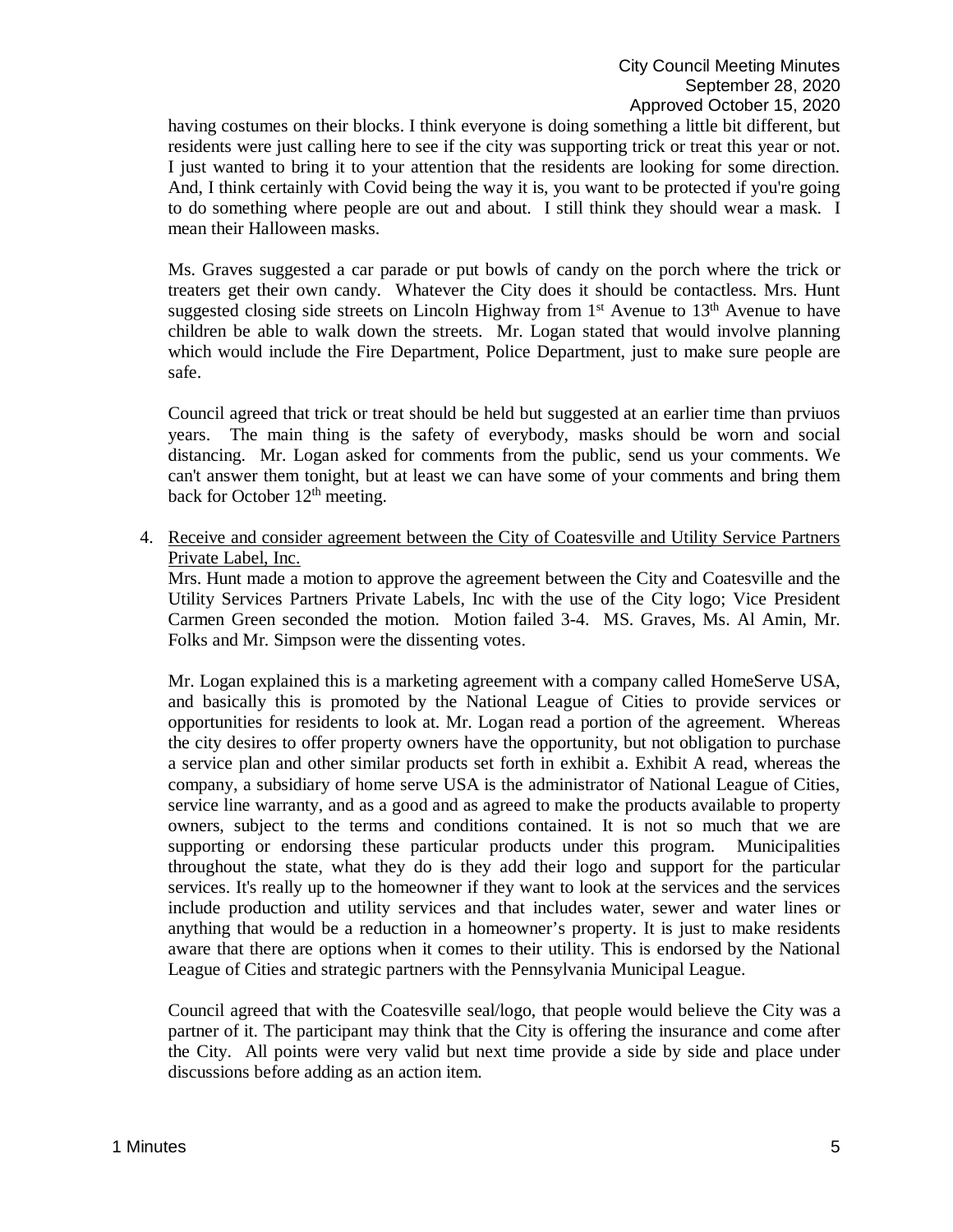having costumes on their blocks. I think everyone is doing something a little bit different, but residents were just calling here to see if the city was supporting trick or treat this year or not. I just wanted to bring it to your attention that the residents are looking for some direction. And, I think certainly with Covid being the way it is, you want to be protected if you're going to do something where people are out and about. I still think they should wear a mask. I mean their Halloween masks.

Ms. Graves suggested a car parade or put bowls of candy on the porch where the trick or treaters get their own candy. Whatever the City does it should be contactless. Mrs. Hunt suggested closing side streets on Lincoln Highway from  $1<sup>st</sup>$  Avenue to 13<sup>th</sup> Avenue to have children be able to walk down the streets. Mr. Logan stated that would involve planning which would include the Fire Department, Police Department, just to make sure people are safe.

Council agreed that trick or treat should be held but suggested at an earlier time than prviuos years. The main thing is the safety of everybody, masks should be worn and social distancing. Mr. Logan asked for comments from the public, send us your comments. We can't answer them tonight, but at least we can have some of your comments and bring them back for October 12<sup>th</sup> meeting.

4. Receive and consider agreement between the City of Coatesville and Utility Service Partners Private Label, Inc.

Mrs. Hunt made a motion to approve the agreement between the City and Coatesville and the Utility Services Partners Private Labels, Inc with the use of the City logo; Vice President Carmen Green seconded the motion. Motion failed 3-4. MS. Graves, Ms. Al Amin, Mr. Folks and Mr. Simpson were the dissenting votes.

Mr. Logan explained this is a marketing agreement with a company called HomeServe USA, and basically this is promoted by the National League of Cities to provide services or opportunities for residents to look at. Mr. Logan read a portion of the agreement. Whereas the city desires to offer property owners have the opportunity, but not obligation to purchase a service plan and other similar products set forth in exhibit a. Exhibit A read, whereas the company, a subsidiary of home serve USA is the administrator of National League of Cities, service line warranty, and as a good and as agreed to make the products available to property owners, subject to the terms and conditions contained. It is not so much that we are supporting or endorsing these particular products under this program. Municipalities throughout the state, what they do is they add their logo and support for the particular services. It's really up to the homeowner if they want to look at the services and the services include production and utility services and that includes water, sewer and water lines or anything that would be a reduction in a homeowner's property. It is just to make residents aware that there are options when it comes to their utility. This is endorsed by the National League of Cities and strategic partners with the Pennsylvania Municipal League.

Council agreed that with the Coatesville seal/logo, that people would believe the City was a partner of it. The participant may think that the City is offering the insurance and come after the City. All points were very valid but next time provide a side by side and place under discussions before adding as an action item.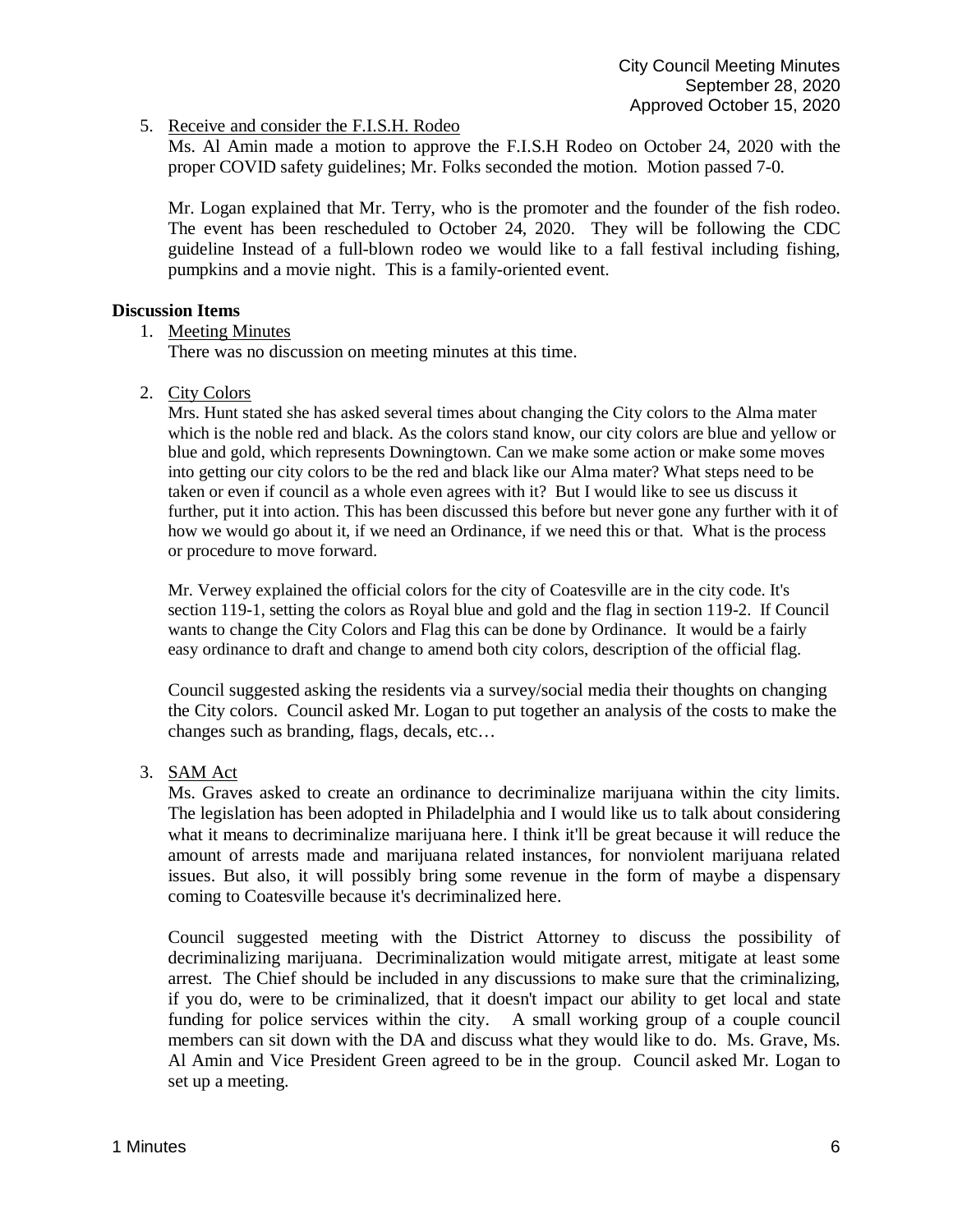5. Receive and consider the F.I.S.H. Rodeo

Ms. Al Amin made a motion to approve the F.I.S.H Rodeo on October 24, 2020 with the proper COVID safety guidelines; Mr. Folks seconded the motion. Motion passed 7-0.

Mr. Logan explained that Mr. Terry, who is the promoter and the founder of the fish rodeo. The event has been rescheduled to October 24, 2020. They will be following the CDC guideline Instead of a full-blown rodeo we would like to a fall festival including fishing, pumpkins and a movie night. This is a family-oriented event.

### **Discussion Items**

1. Meeting Minutes

There was no discussion on meeting minutes at this time.

2. City Colors

Mrs. Hunt stated she has asked several times about changing the City colors to the Alma mater which is the noble red and black. As the colors stand know, our city colors are blue and yellow or blue and gold, which represents Downingtown. Can we make some action or make some moves into getting our city colors to be the red and black like our Alma mater? What steps need to be taken or even if council as a whole even agrees with it? But I would like to see us discuss it further, put it into action. This has been discussed this before but never gone any further with it of how we would go about it, if we need an Ordinance, if we need this or that. What is the process or procedure to move forward.

Mr. Verwey explained the official colors for the city of Coatesville are in the city code. It's section 119-1, setting the colors as Royal blue and gold and the flag in section 119-2. If Council wants to change the City Colors and Flag this can be done by Ordinance. It would be a fairly easy ordinance to draft and change to amend both city colors, description of the official flag.

Council suggested asking the residents via a survey/social media their thoughts on changing the City colors. Council asked Mr. Logan to put together an analysis of the costs to make the changes such as branding, flags, decals, etc…

3. SAM Act

Ms. Graves asked to create an ordinance to decriminalize marijuana within the city limits. The legislation has been adopted in Philadelphia and I would like us to talk about considering what it means to decriminalize marijuana here. I think it'll be great because it will reduce the amount of arrests made and marijuana related instances, for nonviolent marijuana related issues. But also, it will possibly bring some revenue in the form of maybe a dispensary coming to Coatesville because it's decriminalized here.

Council suggested meeting with the District Attorney to discuss the possibility of decriminalizing marijuana. Decriminalization would mitigate arrest, mitigate at least some arrest. The Chief should be included in any discussions to make sure that the criminalizing, if you do, were to be criminalized, that it doesn't impact our ability to get local and state funding for police services within the city. A small working group of a couple council members can sit down with the DA and discuss what they would like to do. Ms. Grave, Ms. Al Amin and Vice President Green agreed to be in the group. Council asked Mr. Logan to set up a meeting.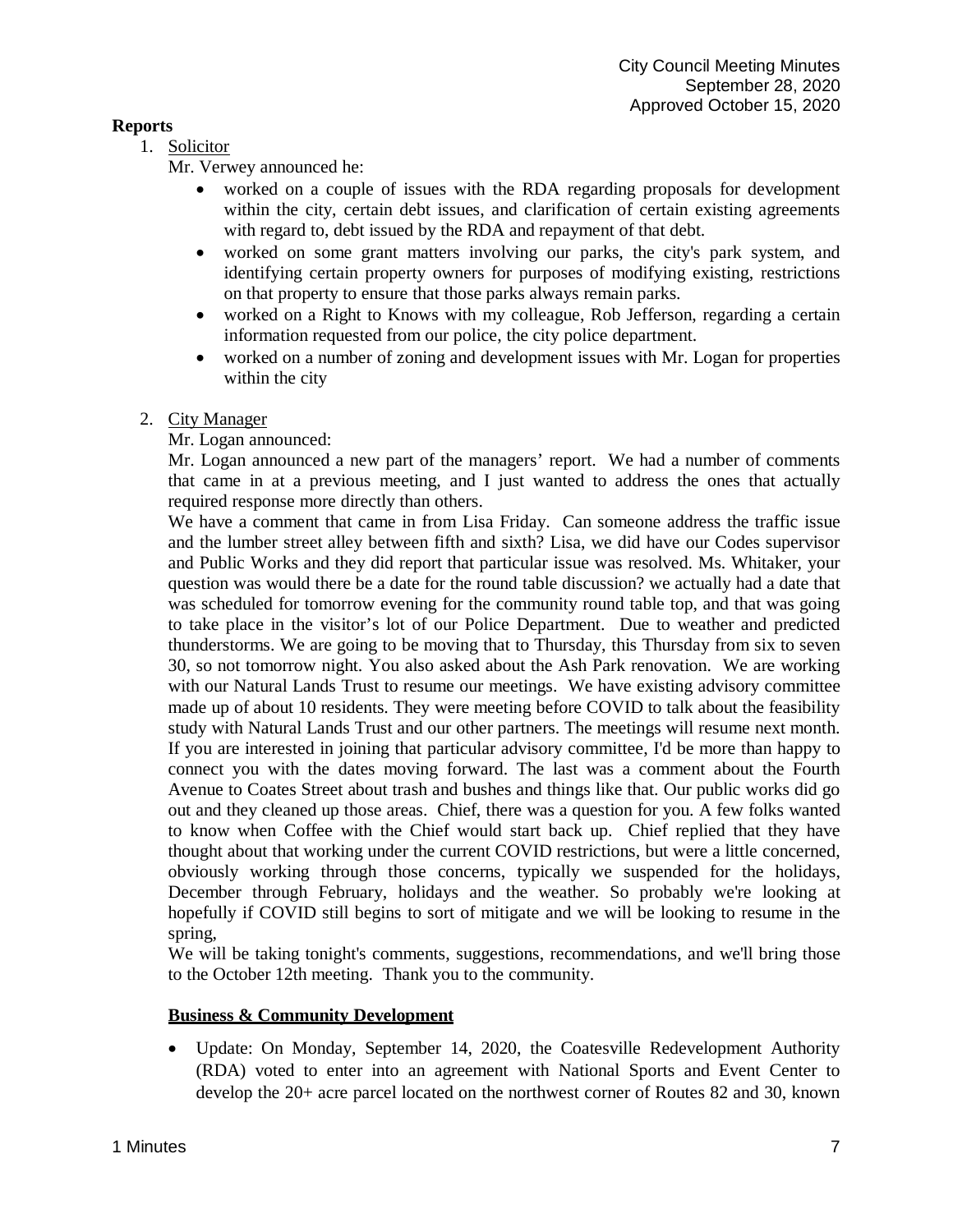### **Reports**

1. Solicitor

Mr. Verwey announced he:

- worked on a couple of issues with the RDA regarding proposals for development within the city, certain debt issues, and clarification of certain existing agreements with regard to, debt issued by the RDA and repayment of that debt.
- worked on some grant matters involving our parks, the city's park system, and identifying certain property owners for purposes of modifying existing, restrictions on that property to ensure that those parks always remain parks.
- worked on a Right to Knows with my colleague, Rob Jefferson, regarding a certain information requested from our police, the city police department.
- worked on a number of zoning and development issues with Mr. Logan for properties within the city

### 2. City Manager

# Mr. Logan announced:

Mr. Logan announced a new part of the managers' report. We had a number of comments that came in at a previous meeting, and I just wanted to address the ones that actually required response more directly than others.

We have a comment that came in from Lisa Friday. Can someone address the traffic issue and the lumber street alley between fifth and sixth? Lisa, we did have our Codes supervisor and Public Works and they did report that particular issue was resolved. Ms. Whitaker, your question was would there be a date for the round table discussion? we actually had a date that was scheduled for tomorrow evening for the community round table top, and that was going to take place in the visitor's lot of our Police Department. Due to weather and predicted thunderstorms. We are going to be moving that to Thursday, this Thursday from six to seven 30, so not tomorrow night. You also asked about the Ash Park renovation. We are working with our Natural Lands Trust to resume our meetings. We have existing advisory committee made up of about 10 residents. They were meeting before COVID to talk about the feasibility study with Natural Lands Trust and our other partners. The meetings will resume next month. If you are interested in joining that particular advisory committee, I'd be more than happy to connect you with the dates moving forward. The last was a comment about the Fourth Avenue to Coates Street about trash and bushes and things like that. Our public works did go out and they cleaned up those areas. Chief, there was a question for you. A few folks wanted to know when Coffee with the Chief would start back up. Chief replied that they have thought about that working under the current COVID restrictions, but were a little concerned, obviously working through those concerns, typically we suspended for the holidays, December through February, holidays and the weather. So probably we're looking at hopefully if COVID still begins to sort of mitigate and we will be looking to resume in the spring,

We will be taking tonight's comments, suggestions, recommendations, and we'll bring those to the October 12th meeting. Thank you to the community.

### **Business & Community Development**

• Update: On Monday, September 14, 2020, the Coatesville Redevelopment Authority (RDA) voted to enter into an agreement with National Sports and Event Center to develop the 20+ acre parcel located on the northwest corner of Routes 82 and 30, known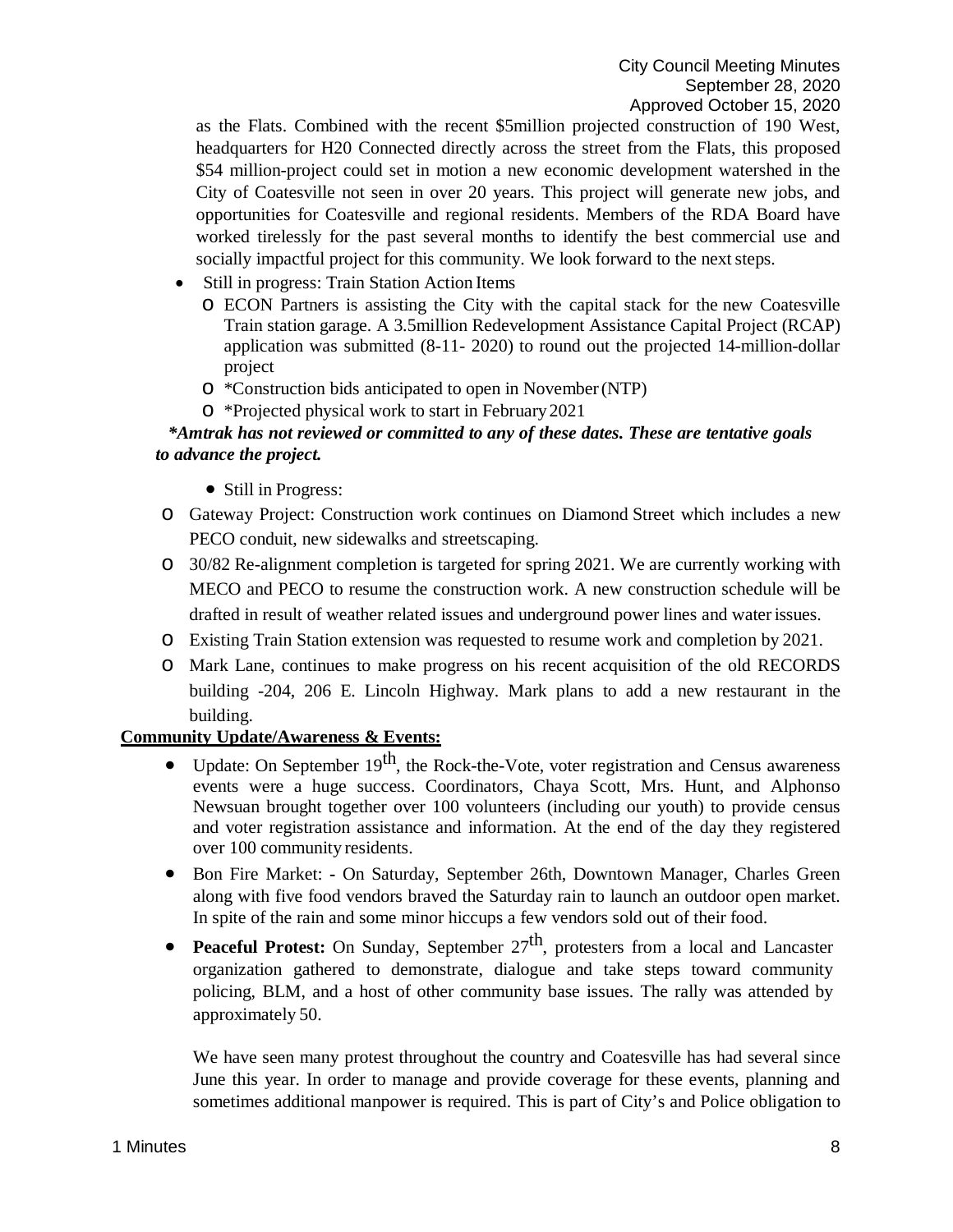as the Flats. Combined with the recent \$5million projected construction of 190 West, headquarters for H20 Connected directly across the street from the Flats, this proposed \$54 million-project could set in motion a new economic development watershed in the City of Coatesville not seen in over 20 years. This project will generate new jobs, and opportunities for Coatesville and regional residents. Members of the RDA Board have worked tirelessly for the past several months to identify the best commercial use and socially impactful project for this community. We look forward to the next steps.

- Still in progress: Train Station Action Items
	- o ECON Partners is assisting the City with the capital stack for the new Coatesville Train station garage. A 3.5million Redevelopment Assistance Capital Project (RCAP) application was submitted (8-11- 2020) to round out the projected 14-million-dollar project
	- o \*Construction bids anticipated to open in November(NTP)
	- o \*Projected physical work to start in February2021

## *\*Amtrak has not reviewed or committed to any of these dates. These are tentative goals to advance the project.*

- Still in Progress:
- o Gateway Project: Construction work continues on Diamond Street which includes a new PECO conduit, new sidewalks and streetscaping.
- o 30/82 Re-alignment completion is targeted for spring 2021. We are currently working with MECO and PECO to resume the construction work. A new construction schedule will be drafted in result of weather related issues and underground power lines and waterissues.
- o Existing Train Station extension was requested to resume work and completion by 2021.
- o Mark Lane, continues to make progress on his recent acquisition of the old RECORDS building -204, 206 E. Lincoln Highway. Mark plans to add a new restaurant in the building.

### **Community Update/Awareness & Events:**

- Update: On September  $19^{th}$ , the Rock-the-Vote, voter registration and Census awareness events were a huge success. Coordinators, Chaya Scott, Mrs. Hunt, and Alphonso Newsuan brought together over 100 volunteers (including our youth) to provide census and voter registration assistance and information. At the end of the day they registered over 100 community residents.
- Bon Fire Market: **-** On Saturday, September 26th, Downtown Manager, Charles Green along with five food vendors braved the Saturday rain to launch an outdoor open market. In spite of the rain and some minor hiccups a few vendors sold out of their food.
- **Peaceful Protest:** On Sunday, September 27<sup>th</sup>, protesters from a local and Lancaster organization gathered to demonstrate, dialogue and take steps toward community policing, BLM, and a host of other community base issues. The rally was attended by approximately 50.

We have seen many protest throughout the country and Coatesville has had several since June this year. In order to manage and provide coverage for these events, planning and sometimes additional manpower is required. This is part of City's and Police obligation to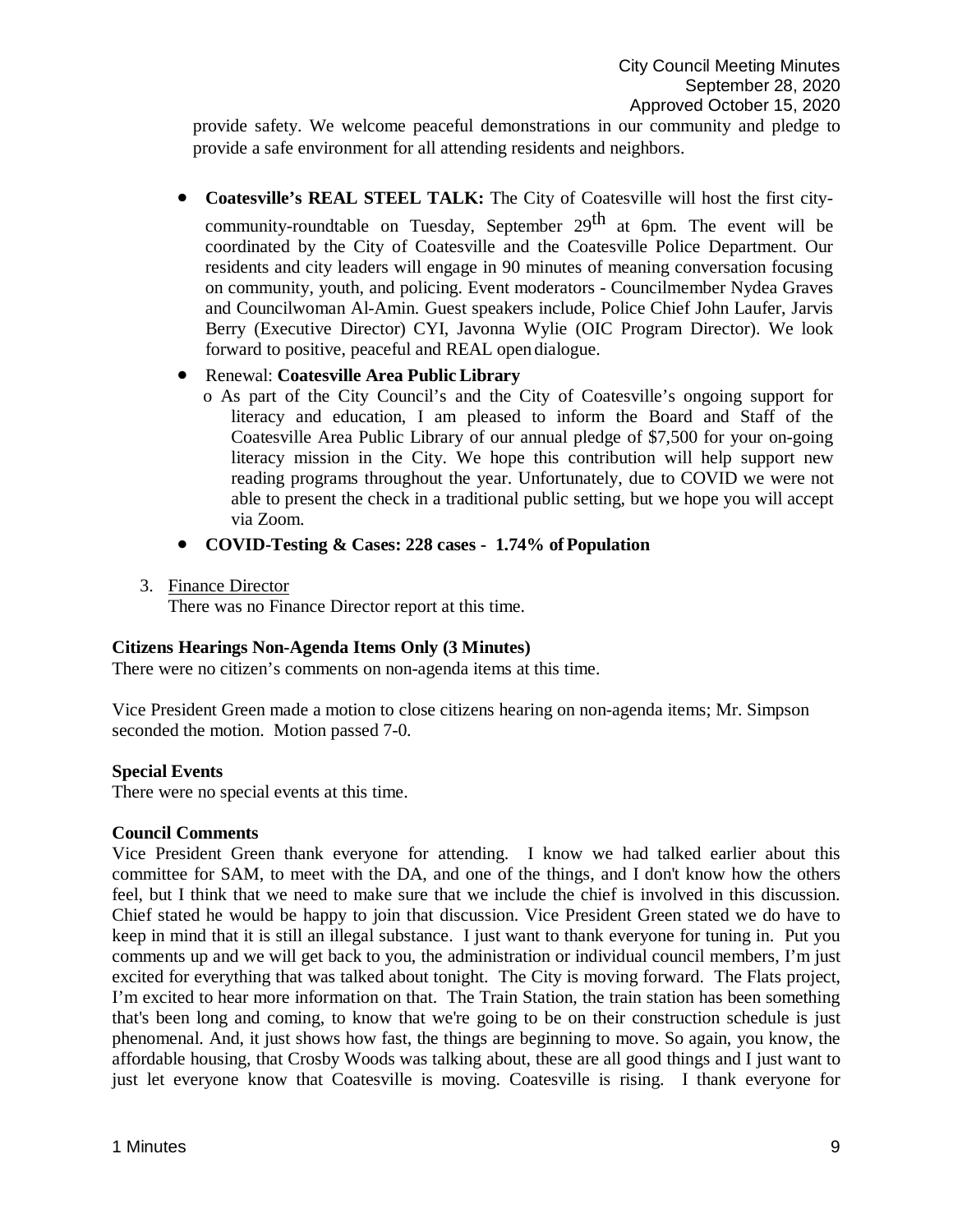provide safety. We welcome peaceful demonstrations in our community and pledge to provide a safe environment for all attending residents and neighbors.

• **Coatesville's REAL STEEL TALK:** The City of Coatesville will host the first city-

community-roundtable on Tuesday, September  $29<sup>th</sup>$  at 6pm. The event will be coordinated by the City of Coatesville and the Coatesville Police Department. Our residents and city leaders will engage in 90 minutes of meaning conversation focusing on community, youth, and policing. Event moderators - Councilmember Nydea Graves and Councilwoman Al-Amin. Guest speakers include, Police Chief John Laufer, Jarvis Berry (Executive Director) CYI, Javonna Wylie (OIC Program Director). We look forward to positive, peaceful and REAL open dialogue.

### • Renewal: **Coatesville Area Public Library**

- o As part of the City Council's and the City of Coatesville's ongoing support for literacy and education, I am pleased to inform the Board and Staff of the Coatesville Area Public Library of our annual pledge of \$7,500 for your on-going literacy mission in the City. We hope this contribution will help support new reading programs throughout the year. Unfortunately, due to COVID we were not able to present the check in a traditional public setting, but we hope you will accept via Zoom.
- **COVID-Testing & Cases: 228 cases - 1.74% ofPopulation**
- 3. Finance Director

There was no Finance Director report at this time.

#### **Citizens Hearings Non-Agenda Items Only (3 Minutes)**

There were no citizen's comments on non-agenda items at this time.

Vice President Green made a motion to close citizens hearing on non-agenda items; Mr. Simpson seconded the motion. Motion passed 7-0.

#### **Special Events**

There were no special events at this time.

#### **Council Comments**

Vice President Green thank everyone for attending. I know we had talked earlier about this committee for SAM, to meet with the DA, and one of the things, and I don't know how the others feel, but I think that we need to make sure that we include the chief is involved in this discussion. Chief stated he would be happy to join that discussion. Vice President Green stated we do have to keep in mind that it is still an illegal substance. I just want to thank everyone for tuning in. Put you comments up and we will get back to you, the administration or individual council members, I'm just excited for everything that was talked about tonight. The City is moving forward. The Flats project, I'm excited to hear more information on that. The Train Station, the train station has been something that's been long and coming, to know that we're going to be on their construction schedule is just phenomenal. And, it just shows how fast, the things are beginning to move. So again, you know, the affordable housing, that Crosby Woods was talking about, these are all good things and I just want to just let everyone know that Coatesville is moving. Coatesville is rising. I thank everyone for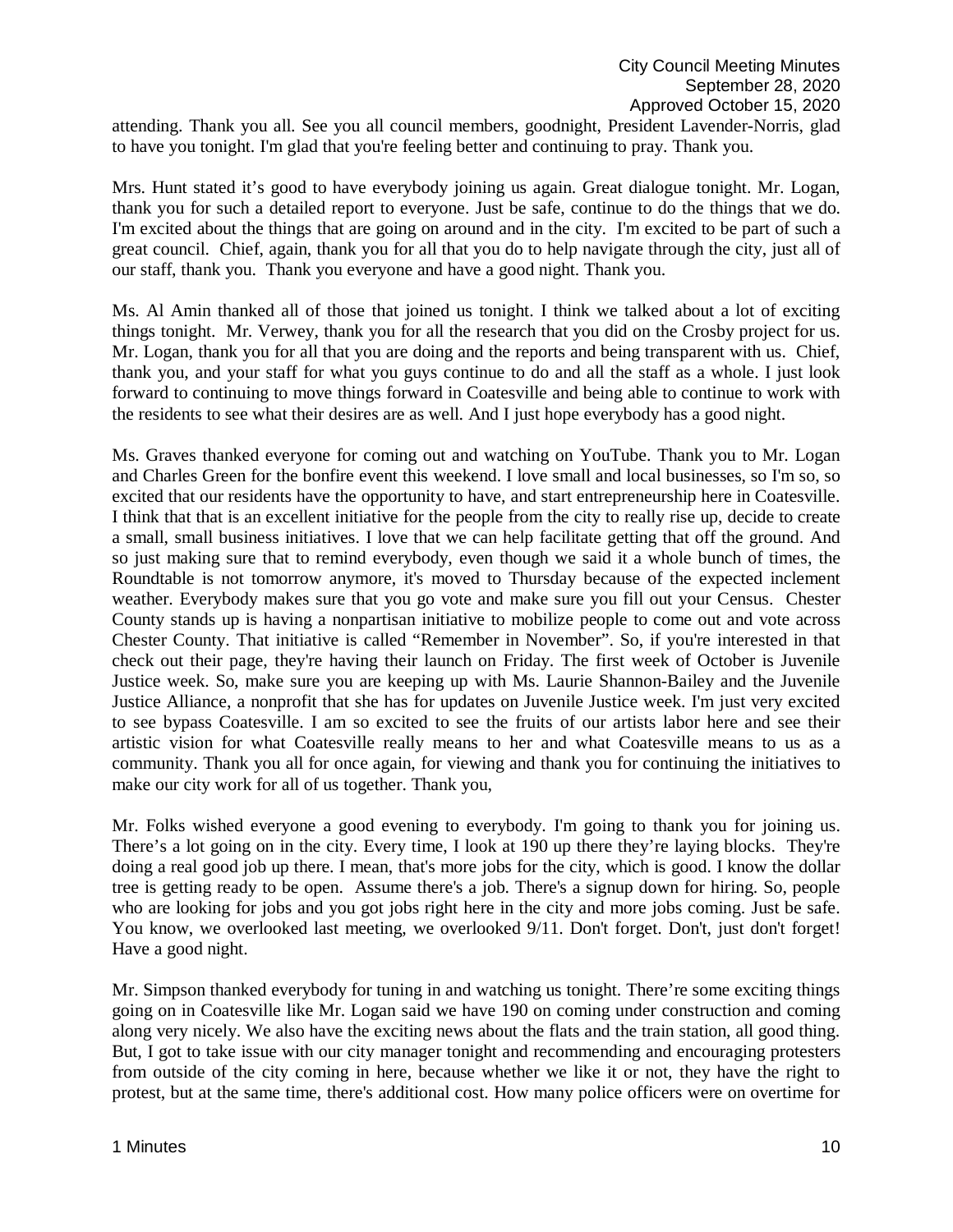attending. Thank you all. See you all council members, goodnight, President Lavender-Norris, glad to have you tonight. I'm glad that you're feeling better and continuing to pray. Thank you.

Mrs. Hunt stated it's good to have everybody joining us again. Great dialogue tonight. Mr. Logan, thank you for such a detailed report to everyone. Just be safe, continue to do the things that we do. I'm excited about the things that are going on around and in the city. I'm excited to be part of such a great council. Chief, again, thank you for all that you do to help navigate through the city, just all of our staff, thank you. Thank you everyone and have a good night. Thank you.

Ms. Al Amin thanked all of those that joined us tonight. I think we talked about a lot of exciting things tonight. Mr. Verwey, thank you for all the research that you did on the Crosby project for us. Mr. Logan, thank you for all that you are doing and the reports and being transparent with us. Chief, thank you, and your staff for what you guys continue to do and all the staff as a whole. I just look forward to continuing to move things forward in Coatesville and being able to continue to work with the residents to see what their desires are as well. And I just hope everybody has a good night.

Ms. Graves thanked everyone for coming out and watching on YouTube. Thank you to Mr. Logan and Charles Green for the bonfire event this weekend. I love small and local businesses, so I'm so, so excited that our residents have the opportunity to have, and start entrepreneurship here in Coatesville. I think that that is an excellent initiative for the people from the city to really rise up, decide to create a small, small business initiatives. I love that we can help facilitate getting that off the ground. And so just making sure that to remind everybody, even though we said it a whole bunch of times, the Roundtable is not tomorrow anymore, it's moved to Thursday because of the expected inclement weather. Everybody makes sure that you go vote and make sure you fill out your Census. Chester County stands up is having a nonpartisan initiative to mobilize people to come out and vote across Chester County. That initiative is called "Remember in November". So, if you're interested in that check out their page, they're having their launch on Friday. The first week of October is Juvenile Justice week. So, make sure you are keeping up with Ms. Laurie Shannon-Bailey and the Juvenile Justice Alliance, a nonprofit that she has for updates on Juvenile Justice week. I'm just very excited to see bypass Coatesville. I am so excited to see the fruits of our artists labor here and see their artistic vision for what Coatesville really means to her and what Coatesville means to us as a community. Thank you all for once again, for viewing and thank you for continuing the initiatives to make our city work for all of us together. Thank you,

Mr. Folks wished everyone a good evening to everybody. I'm going to thank you for joining us. There's a lot going on in the city. Every time, I look at 190 up there they're laying blocks. They're doing a real good job up there. I mean, that's more jobs for the city, which is good. I know the dollar tree is getting ready to be open. Assume there's a job. There's a signup down for hiring. So, people who are looking for jobs and you got jobs right here in the city and more jobs coming. Just be safe. You know, we overlooked last meeting, we overlooked 9/11. Don't forget. Don't, just don't forget! Have a good night.

Mr. Simpson thanked everybody for tuning in and watching us tonight. There're some exciting things going on in Coatesville like Mr. Logan said we have 190 on coming under construction and coming along very nicely. We also have the exciting news about the flats and the train station, all good thing. But, I got to take issue with our city manager tonight and recommending and encouraging protesters from outside of the city coming in here, because whether we like it or not, they have the right to protest, but at the same time, there's additional cost. How many police officers were on overtime for